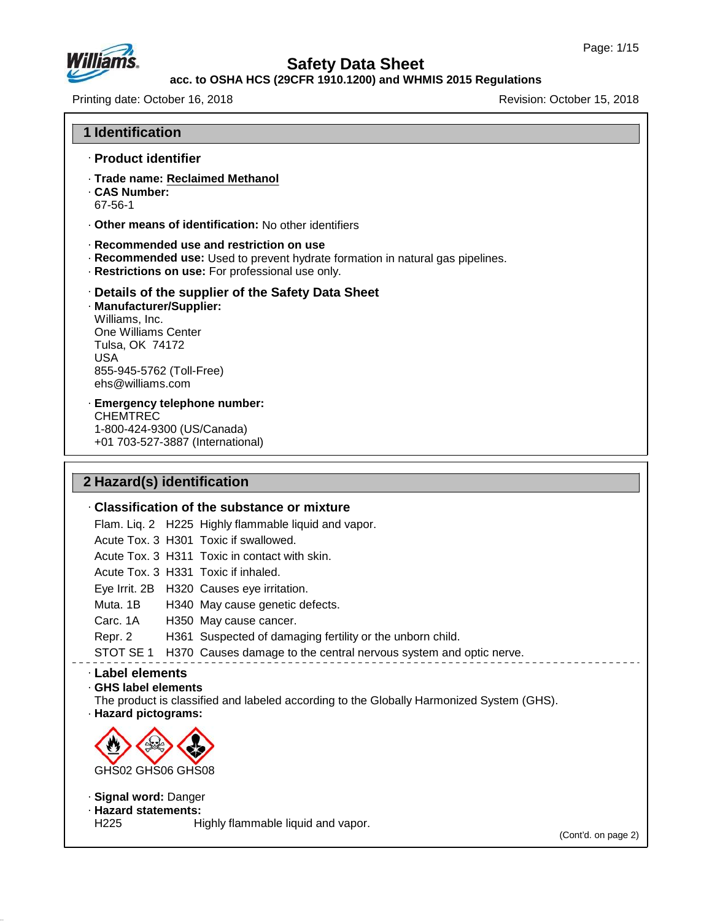

# **Safety Data Sheet**

### **acc. to OSHA HCS (29CFR 1910.1200) and WHMIS 2015 Regulations**

Printing date: October 16, 2018 **Printing date: October 16, 2018** 

**1 Identification**

· **Product identifier**

|                                                                                                                                                    | Other means of identification: No other identifiers                                                                                                                             |  |
|----------------------------------------------------------------------------------------------------------------------------------------------------|---------------------------------------------------------------------------------------------------------------------------------------------------------------------------------|--|
|                                                                                                                                                    | · Recommended use and restriction on use<br>. Recommended use: Used to prevent hydrate formation in natural gas pipelines.<br>· Restrictions on use: For professional use only. |  |
| · Manufacturer/Supplier:<br>Williams, Inc.<br>One Williams Center<br>Tulsa, OK 74172<br><b>USA</b><br>855-945-5762 (Toll-Free)<br>ehs@williams.com | Details of the supplier of the Safety Data Sheet                                                                                                                                |  |
| · Emergency telephone number:<br><b>CHEMTREC</b><br>1-800-424-9300 (US/Canada)<br>+01 703-527-3887 (International)                                 |                                                                                                                                                                                 |  |
| 2 Hazard(s) identification                                                                                                                         |                                                                                                                                                                                 |  |
|                                                                                                                                                    | Classification of the substance or mixture                                                                                                                                      |  |
|                                                                                                                                                    | Flam. Liq. 2 H225 Highly flammable liquid and vapor.                                                                                                                            |  |
|                                                                                                                                                    | Acute Tox. 3 H301 Toxic if swallowed.                                                                                                                                           |  |
|                                                                                                                                                    | Acute Tox. 3 H311 Toxic in contact with skin.                                                                                                                                   |  |
|                                                                                                                                                    | Acute Tox. 3 H331 Toxic if inhaled.                                                                                                                                             |  |
|                                                                                                                                                    | Eye Irrit. 2B H320 Causes eye irritation.                                                                                                                                       |  |
| Muta. 1B<br>Carc. 1A                                                                                                                               | H340 May cause genetic defects.                                                                                                                                                 |  |
| Repr. 2                                                                                                                                            | H350 May cause cancer.<br>H361 Suspected of damaging fertility or the unborn child.                                                                                             |  |
|                                                                                                                                                    | STOT SE 1 H370 Causes damage to the central nervous system and optic nerve.                                                                                                     |  |
| · Label elements                                                                                                                                   |                                                                                                                                                                                 |  |
| GHS label elements<br>· Hazard pictograms:                                                                                                         | The product is classified and labeled according to the Globally Harmonized System (GHS).                                                                                        |  |
|                                                                                                                                                    |                                                                                                                                                                                 |  |
|                                                                                                                                                    |                                                                                                                                                                                 |  |
| GHS02 GHS06 GHS08                                                                                                                                  |                                                                                                                                                                                 |  |
| · Signal word: Danger<br>· Hazard statements:<br>H <sub>225</sub>                                                                                  | Highly flammable liquid and vapor.                                                                                                                                              |  |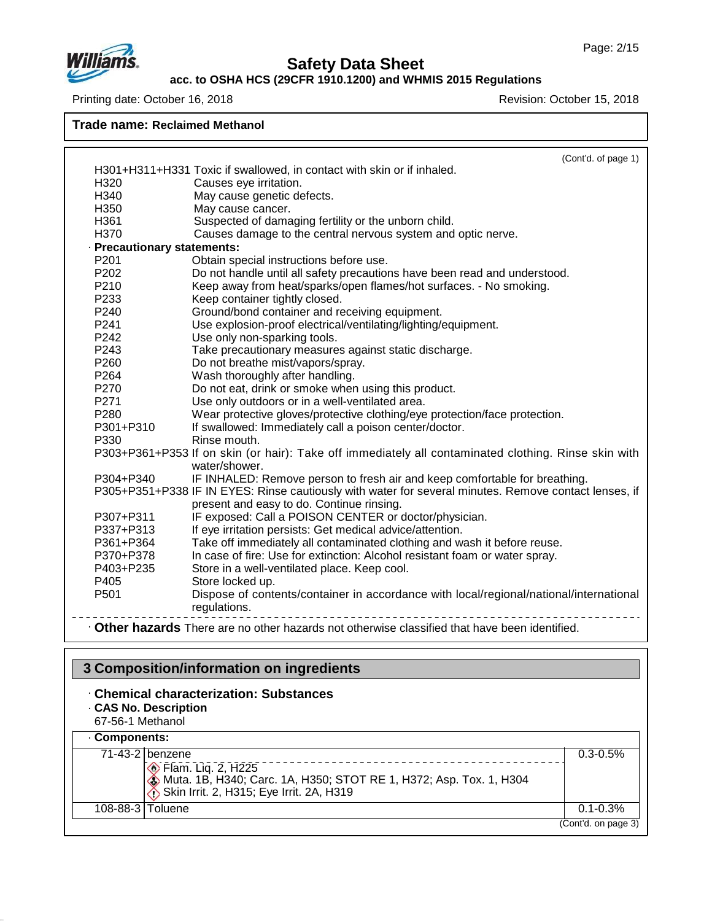

#### **acc. to OSHA HCS (29CFR 1910.1200) and WHMIS 2015 Regulations**

Printing date: October 16, 2018 **Printing date: October 16, 2018** 

**Trade name: Reclaimed Methanol**

|                             | (Cont'd. of page 1)                                                                                                   |
|-----------------------------|-----------------------------------------------------------------------------------------------------------------------|
|                             | H301+H311+H331 Toxic if swallowed, in contact with skin or if inhaled.                                                |
| H320                        | Causes eye irritation.                                                                                                |
| H340                        | May cause genetic defects.                                                                                            |
| H350                        | May cause cancer.                                                                                                     |
| H361                        | Suspected of damaging fertility or the unborn child.                                                                  |
| H370                        | Causes damage to the central nervous system and optic nerve.                                                          |
| · Precautionary statements: |                                                                                                                       |
| P201                        | Obtain special instructions before use.                                                                               |
| P <sub>202</sub>            | Do not handle until all safety precautions have been read and understood.                                             |
| P210                        | Keep away from heat/sparks/open flames/hot surfaces. - No smoking.                                                    |
| P233                        | Keep container tightly closed.                                                                                        |
| P240                        | Ground/bond container and receiving equipment.                                                                        |
| P241                        | Use explosion-proof electrical/ventilating/lighting/equipment.                                                        |
| P242                        | Use only non-sparking tools.                                                                                          |
| P243                        | Take precautionary measures against static discharge.                                                                 |
| P <sub>260</sub>            | Do not breathe mist/vapors/spray.                                                                                     |
| P <sub>264</sub>            | Wash thoroughly after handling.                                                                                       |
| P270                        | Do not eat, drink or smoke when using this product.                                                                   |
| P271                        | Use only outdoors or in a well-ventilated area.                                                                       |
| P280                        | Wear protective gloves/protective clothing/eye protection/face protection.                                            |
| P301+P310                   | If swallowed: Immediately call a poison center/doctor.                                                                |
| P330                        | Rinse mouth.                                                                                                          |
|                             | P303+P361+P353 If on skin (or hair): Take off immediately all contaminated clothing. Rinse skin with<br>water/shower. |
| P304+P340                   | IF INHALED: Remove person to fresh air and keep comfortable for breathing.                                            |
|                             | P305+P351+P338 IF IN EYES: Rinse cautiously with water for several minutes. Remove contact lenses, if                 |
|                             | present and easy to do. Continue rinsing.                                                                             |
| P307+P311                   | IF exposed: Call a POISON CENTER or doctor/physician.                                                                 |
| P337+P313                   | If eye irritation persists: Get medical advice/attention.                                                             |
| P361+P364                   | Take off immediately all contaminated clothing and wash it before reuse.                                              |
| P370+P378                   | In case of fire: Use for extinction: Alcohol resistant foam or water spray.                                           |
| P403+P235                   | Store in a well-ventilated place. Keep cool.                                                                          |
| P405                        | Store locked up.                                                                                                      |
| P501                        | Dispose of contents/container in accordance with local/regional/national/international<br>regulations.                |
|                             | . Other hazards There are no other hazards not otherwise classified that have been identified.                        |

# **3 Composition/information on ingredients**

- · **Chemical characterization: Substances** · **CAS No. Description**
- 67-56-1 Methanol

## · **Components:**

47.0.13

| <b>· Components:</b>                                                                                                                        |                     |  |
|---------------------------------------------------------------------------------------------------------------------------------------------|---------------------|--|
| 71-43-2 benzene                                                                                                                             | $0.3 - 0.5\%$       |  |
| <b>Elam.</b> Liq. 2, H225<br>Muta. 1B, H340; Carc. 1A, H350; STOT RE 1, H372; Asp. Tox. 1, H304<br>Skin Irrit. 2, H315; Eye Irrit. 2A, H319 |                     |  |
| 108-88-3   Toluene                                                                                                                          | $0.1 - 0.3\%$       |  |
|                                                                                                                                             | (Cont'd. on page 3) |  |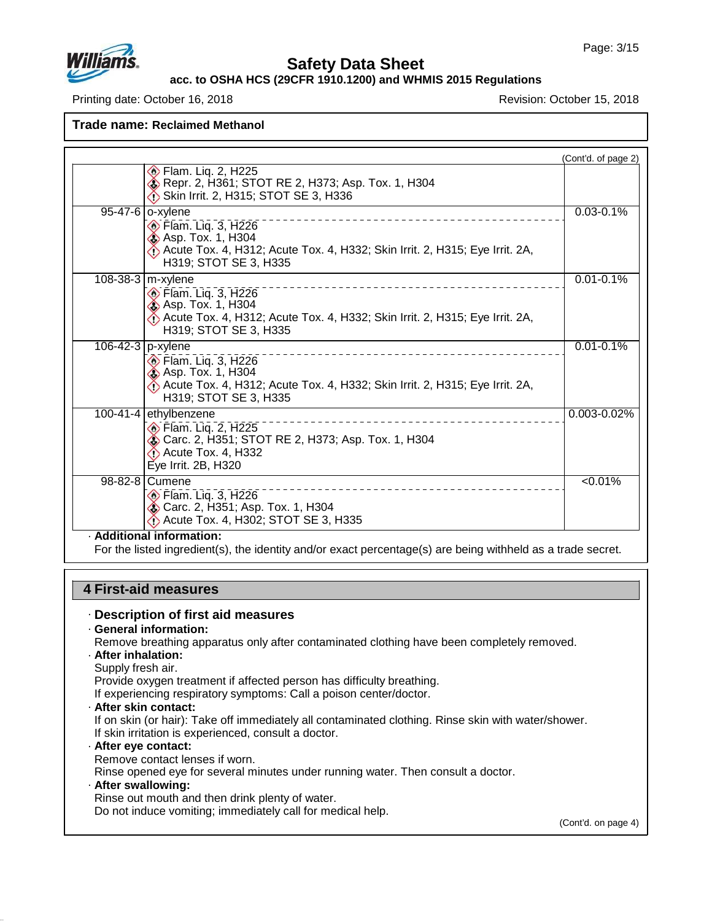

### **acc. to OSHA HCS (29CFR 1910.1200) and WHMIS 2015 Regulations**

Printing date: October 16, 2018 **Revision: October 15, 2018** Revision: October 15, 2018

**Trade name: Reclaimed Methanol**

|                       |                                                                                                                                                                                  | (Cont'd. of page 2) |
|-----------------------|----------------------------------------------------------------------------------------------------------------------------------------------------------------------------------|---------------------|
|                       | Flam. Liq. 2, H225<br>Repr. 2, H361; STOT RE 2, H373; Asp. Tox. 1, H304<br>Skin Irrit. 2, H315; STOT SE 3, H336                                                                  |                     |
|                       | 95-47-6 o-xylene<br>Flam. Liq. 3, H226<br><b>&amp; Asp. Tox. 1, H304</b><br>Acute Tox. 4, H312; Acute Tox. 4, H332; Skin Irrit. 2, H315; Eye Irrit. 2A,<br>H319; STOT SE 3, H335 | $0.03 - 0.1\%$      |
| 108-38-3   m-xylene   | <b>Elam. Liq. 3, H226</b><br><b>Asp. Tox. 1, H304</b><br>Acute Tox. 4, H312; Acute Tox. 4, H332; Skin Irrit. 2, H315; Eye Irrit. 2A,<br>H319; STOT SE 3, H335                    | $0.01 - 0.1\%$      |
| 106-42-3 $ p$ -xylene | Elam. Liq. 3, H226<br><b>S</b> Asp. Tox. 1, H304<br>Acute Tox. 4, H312; Acute Tox. 4, H332; Skin Irrit. 2, H315; Eye Irrit. 2A,<br>H319; STOT SE 3, H335                         | $0.01 - 0.1%$       |
|                       | 100-41-4 ethylbenzene<br><b>Elam. Lig. 2, H225</b><br>Carc. 2, H351; STOT RE 2, H373; Asp. Tox. 1, H304<br>Acute Tox. 4, H332<br>Eye Irrit. 2B, H320                             | 0.003-0.02%         |
|                       | 98-82-8   Cumene<br><b>Elam. Liq. 3, H226</b><br>Carc. 2, H351; Asp. Tox. 1, H304<br>Acute Tox. 4, H302; STOT SE 3, H335                                                         | $\sqrt{0.01\%}$     |

· **Additional information:**

For the listed ingredient(s), the identity and/or exact percentage(s) are being withheld as a trade secret.

### **4 First-aid measures**

#### · **Description of first aid measures**

· **General information:**

Remove breathing apparatus only after contaminated clothing have been completely removed.

- · **After inhalation:**
- Supply fresh air.

Provide oxygen treatment if affected person has difficulty breathing.

If experiencing respiratory symptoms: Call a poison center/doctor.

· **After skin contact:**

If on skin (or hair): Take off immediately all contaminated clothing. Rinse skin with water/shower. If skin irritation is experienced, consult a doctor.

#### · **After eye contact:**

Remove contact lenses if worn.

Rinse opened eye for several minutes under running water. Then consult a doctor.

#### · **After swallowing:**

47.0.13

Rinse out mouth and then drink plenty of water.

Do not induce vomiting; immediately call for medical help.

(Cont'd. on page 4)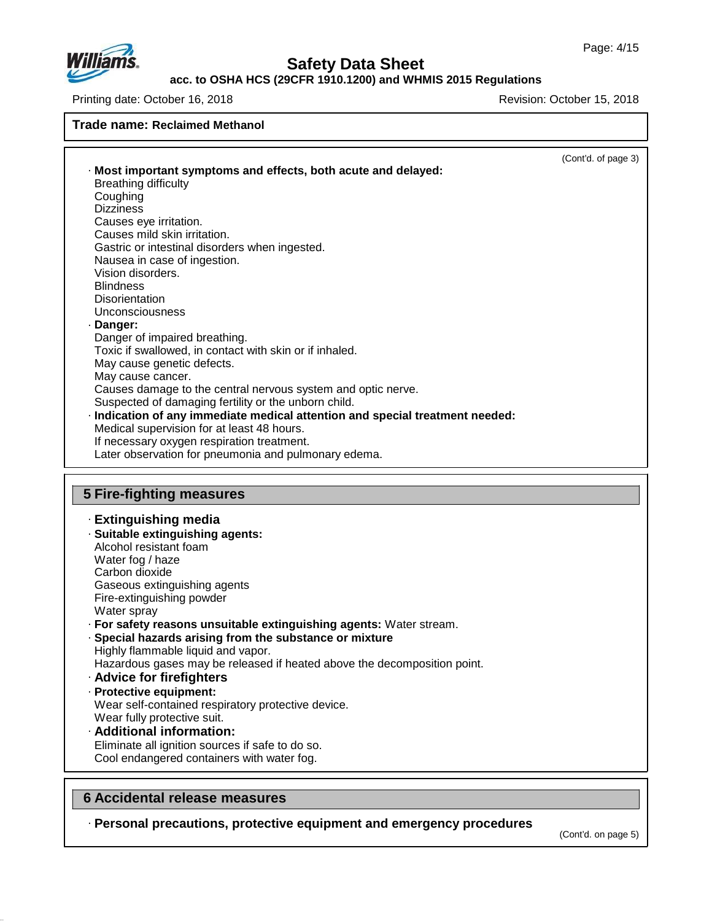

**acc. to OSHA HCS (29CFR 1910.1200) and WHMIS 2015 Regulations**

Printing date: October 16, 2018 **Revision: October 15, 2018** Revision: October 15, 2018

### **Trade name: Reclaimed Methanol** (Cont'd. of page 3) · **Most important symptoms and effects, both acute and delayed:** Breathing difficulty Coughing **Dizziness** Causes eye irritation. Causes mild skin irritation. Gastric or intestinal disorders when ingested. Nausea in case of ingestion. Vision disorders. **Blindness Disorientation** Unconsciousness · **Danger:** Danger of impaired breathing. Toxic if swallowed, in contact with skin or if inhaled. May cause genetic defects. May cause cancer. Causes damage to the central nervous system and optic nerve. Suspected of damaging fertility or the unborn child. · **Indication of any immediate medical attention and special treatment needed:** Medical supervision for at least 48 hours. If necessary oxygen respiration treatment. Later observation for pneumonia and pulmonary edema. **5 Fire-fighting measures**

#### · **Extinguishing media** · **Suitable extinguishing agents:** Alcohol resistant foam Water fog / haze Carbon dioxide Gaseous extinguishing agents Fire-extinguishing powder Water spray · **For safety reasons unsuitable extinguishing agents:** Water stream. · **Special hazards arising from the substance or mixture** Highly flammable liquid and vapor. Hazardous gases may be released if heated above the decomposition point. · **Advice for firefighters** · **Protective equipment:** Wear self-contained respiratory protective device. Wear fully protective suit. · **Additional information:**

Eliminate all ignition sources if safe to do so. Cool endangered containers with water fog.

### **6 Accidental release measures**

47.0.13

· **Personal precautions, protective equipment and emergency procedures**

(Cont'd. on page 5)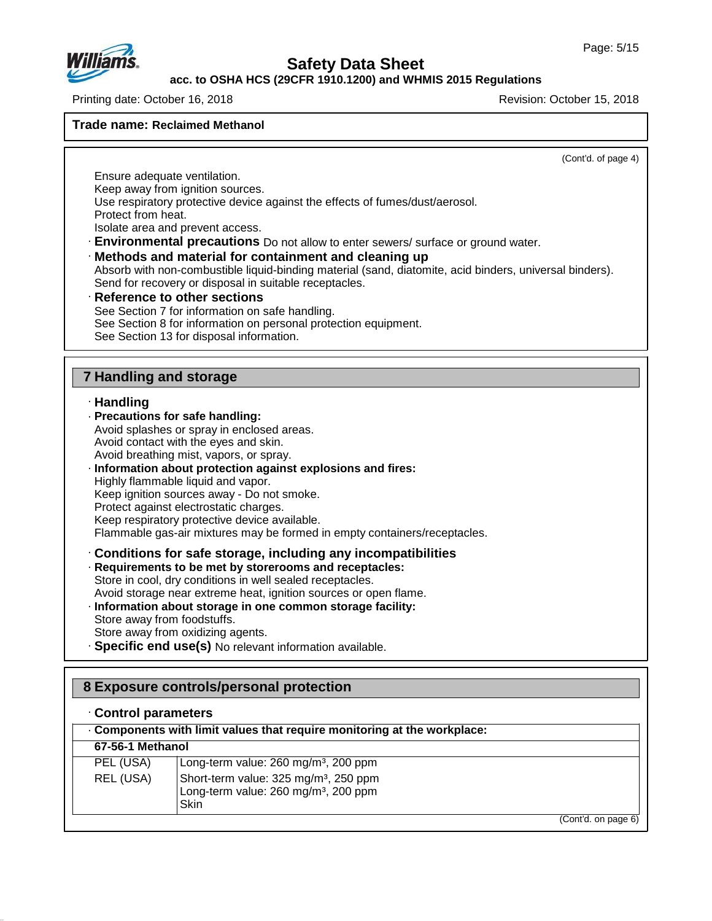

**acc. to OSHA HCS (29CFR 1910.1200) and WHMIS 2015 Regulations**

Printing date: October 16, 2018 **Revision: October 15, 2018** Revision: October 15, 2018

#### **Trade name: Reclaimed Methanol**

(Cont'd. of page 4)

Ensure adequate ventilation. Keep away from ignition sources. Use respiratory protective device against the effects of fumes/dust/aerosol. Protect from heat.

Isolate area and prevent access.

· **Environmental precautions** Do not allow to enter sewers/ surface or ground water.

· **Methods and material for containment and cleaning up**

Absorb with non-combustible liquid-binding material (sand, diatomite, acid binders, universal binders). Send for recovery or disposal in suitable receptacles.

· **Reference to other sections** See Section 7 for information on safe handling. See Section 8 for information on personal protection equipment. See Section 13 for disposal information.

## **7 Handling and storage**

### · **Handling**

· **Precautions for safe handling:** Avoid splashes or spray in enclosed areas. Avoid contact with the eyes and skin. Avoid breathing mist, vapors, or spray. · **Information about protection against explosions and fires:** Highly flammable liquid and vapor. Keep ignition sources away - Do not smoke. Protect against electrostatic charges. Keep respiratory protective device available. Flammable gas-air mixtures may be formed in empty containers/receptacles.

· **Conditions for safe storage, including any incompatibilities**

- · **Requirements to be met by storerooms and receptacles:** Store in cool, dry conditions in well sealed receptacles. Avoid storage near extreme heat, ignition sources or open flame. · **Information about storage in one common storage facility:** Store away from foodstuffs. Store away from oxidizing agents.
- · **Specific end use(s)** No relevant information available.

## **8 Exposure controls/personal protection**

### · **Control parameters**

47.0.13

|                  | Components with limit values that require monitoring at the workplace:                                        |
|------------------|---------------------------------------------------------------------------------------------------------------|
| 67-56-1 Methanol |                                                                                                               |
| PEL (USA)        | Long-term value: 260 mg/m <sup>3</sup> , 200 ppm                                                              |
| REL (USA)        | Short-term value: 325 mg/m <sup>3</sup> , 250 ppm<br>Long-term value: 260 mg/m <sup>3</sup> , 200 ppm<br>Skin |
|                  | (Cont'd. on page 6)                                                                                           |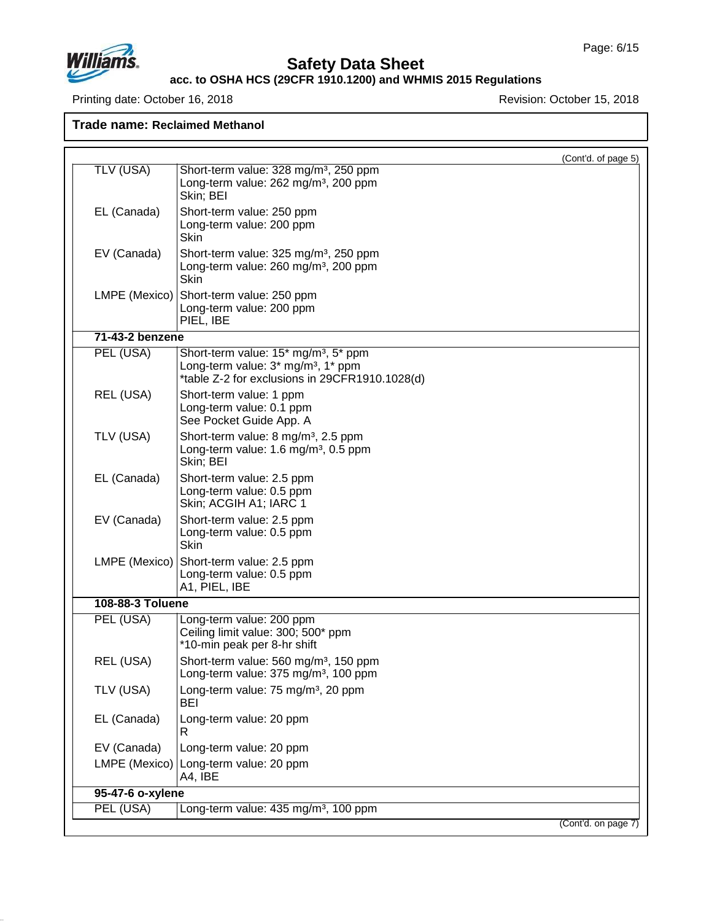

## **Safety Data Sheet**

#### **acc. to OSHA HCS (29CFR 1910.1200) and WHMIS 2015 Regulations**

Printing date: October 16, 2018 **Printing date: October 16, 2018** 

| Trade name: Reclaimed Methanol |        |     |                      |  |
|--------------------------------|--------|-----|----------------------|--|
|                                |        |     |                      |  |
| $-1$ $1$ $1$ $1$ $-1$          | $\sim$ | . . | $\sim$ $\sim$ $\sim$ |  |

|                  | (Cont'd. of page 5)                                                                                                                                  |
|------------------|------------------------------------------------------------------------------------------------------------------------------------------------------|
| <b>TLV (USA)</b> | Short-term value: 328 mg/m <sup>3</sup> , 250 ppm<br>Long-term value: 262 mg/m <sup>3</sup> , 200 ppm<br>Skin; BEI                                   |
| EL (Canada)      | Short-term value: 250 ppm<br>Long-term value: 200 ppm<br>Skin                                                                                        |
| EV (Canada)      | Short-term value: 325 mg/m <sup>3</sup> , 250 ppm<br>Long-term value: 260 mg/m <sup>3</sup> , 200 ppm<br><b>Skin</b>                                 |
| LMPE (Mexico)    | Short-term value: 250 ppm<br>Long-term value: 200 ppm<br>PIEL, IBE                                                                                   |
| 71-43-2 benzene  |                                                                                                                                                      |
| PEL (USA)        | Short-term value: 15* mg/m <sup>3</sup> , 5* ppm<br>Long-term value: 3* mg/m <sup>3</sup> , 1* ppm<br>*table Z-2 for exclusions in 29CFR1910.1028(d) |
| REL (USA)        | Short-term value: 1 ppm<br>Long-term value: 0.1 ppm<br>See Pocket Guide App. A                                                                       |
| TLV (USA)        | Short-term value: 8 mg/m <sup>3</sup> , 2.5 ppm<br>Long-term value: 1.6 mg/m <sup>3</sup> , 0.5 ppm<br>Skin; BEI                                     |
| EL (Canada)      | Short-term value: 2.5 ppm<br>Long-term value: 0.5 ppm<br>Skin; ACGIH A1; IARC 1                                                                      |
| EV (Canada)      | Short-term value: 2.5 ppm<br>Long-term value: 0.5 ppm<br><b>Skin</b>                                                                                 |
| LMPE (Mexico)    | Short-term value: 2.5 ppm<br>Long-term value: 0.5 ppm<br>A1, PIEL, IBE                                                                               |
| 108-88-3 Toluene |                                                                                                                                                      |
| PEL (USA)        | Long-term value: 200 ppm<br>Ceiling limit value: 300; 500* ppm<br>*10-min peak per 8-hr shift                                                        |
| REL (USA)        | Short-term value: 560 mg/m <sup>3</sup> , 150 ppm<br>Long-term value: 375 mg/m <sup>3</sup> , 100 ppm                                                |
| TLV (USA)        | Long-term value: 75 mg/m <sup>3</sup> , 20 ppm<br>BEI                                                                                                |
| EL (Canada)      | Long-term value: 20 ppm<br>R.                                                                                                                        |
| EV (Canada)      | Long-term value: 20 ppm                                                                                                                              |
|                  | LMPE (Mexico) Long-term value: 20 ppm<br>A4, IBE                                                                                                     |
| 95-47-6 o-xylene |                                                                                                                                                      |
| PEL (USA)        | Long-term value: 435 mg/m <sup>3</sup> , 100 ppm                                                                                                     |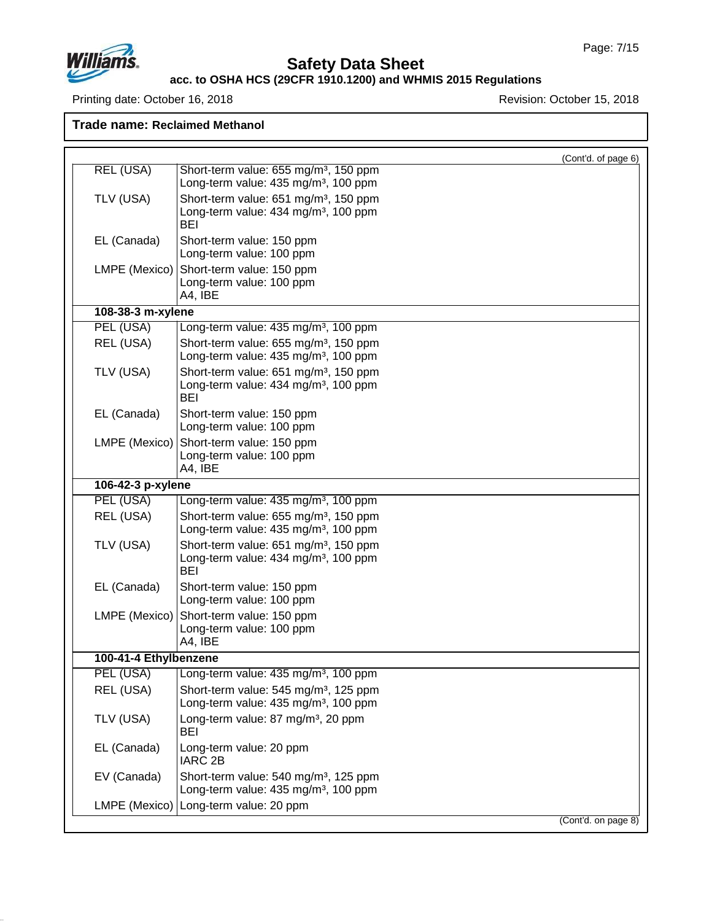

## **Safety Data Sheet**

#### **acc. to OSHA HCS (29CFR 1910.1200) and WHMIS 2015 Regulations**

Printing date: October 16, 2018 **Printing date: October 16, 2018** 

**Trade name: Reclaimed Methanol**

|                       |                                                                | (Cont'd. of page 6) |
|-----------------------|----------------------------------------------------------------|---------------------|
| <b>REL (USA)</b>      | Short-term value: 655 mg/m <sup>3</sup> , 150 ppm              |                     |
|                       | Long-term value: 435 mg/m <sup>3</sup> , 100 ppm               |                     |
| TLV (USA)             | Short-term value: 651 mg/m <sup>3</sup> , 150 ppm              |                     |
|                       | Long-term value: 434 mg/m <sup>3</sup> , 100 ppm<br><b>BEI</b> |                     |
| EL (Canada)           | Short-term value: 150 ppm                                      |                     |
|                       | Long-term value: 100 ppm                                       |                     |
| LMPE (Mexico)         | Short-term value: 150 ppm                                      |                     |
|                       | Long-term value: 100 ppm<br>A4, IBE                            |                     |
| 108-38-3 m-xylene     |                                                                |                     |
| PEL (USA)             | Long-term value: 435 mg/m <sup>3</sup> , 100 ppm               |                     |
| REL (USA)             | Short-term value: 655 mg/m <sup>3</sup> , 150 ppm              |                     |
|                       | Long-term value: 435 mg/m <sup>3</sup> , 100 ppm               |                     |
| TLV (USA)             | Short-term value: 651 mg/m <sup>3</sup> , 150 ppm              |                     |
|                       | Long-term value: 434 mg/m <sup>3</sup> , 100 ppm<br>BEI        |                     |
| EL (Canada)           | Short-term value: 150 ppm                                      |                     |
|                       | Long-term value: 100 ppm                                       |                     |
| LMPE (Mexico)         | Short-term value: 150 ppm                                      |                     |
|                       | Long-term value: 100 ppm                                       |                     |
|                       | A4, IBE                                                        |                     |
| 106-42-3 p-xylene     |                                                                |                     |
| PEL (USA)             | Long-term value: 435 mg/m <sup>3</sup> , 100 ppm               |                     |
| REL (USA)             | Short-term value: 655 mg/m <sup>3</sup> , 150 ppm              |                     |
|                       | Long-term value: 435 mg/m <sup>3</sup> , 100 ppm               |                     |
| TLV (USA)             | Short-term value: 651 mg/m <sup>3</sup> , 150 ppm              |                     |
|                       | Long-term value: 434 mg/m <sup>3</sup> , 100 ppm<br><b>BEI</b> |                     |
| EL (Canada)           | Short-term value: 150 ppm                                      |                     |
|                       | Long-term value: 100 ppm                                       |                     |
| LMPE (Mexico)         | Short-term value: 150 ppm                                      |                     |
|                       | Long-term value: 100 ppm                                       |                     |
|                       | A4, IBE                                                        |                     |
| 100-41-4 Ethylbenzene |                                                                |                     |
| PEL (USA)             | Long-term value: 435 mg/m <sup>3</sup> , 100 ppm               |                     |
| REL (USA)             | Short-term value: 545 mg/m <sup>3</sup> , 125 ppm              |                     |
|                       | Long-term value: 435 mg/m <sup>3</sup> , 100 ppm               |                     |
| TLV (USA)             | Long-term value: 87 mg/m <sup>3</sup> , 20 ppm<br>BEI          |                     |
| EL (Canada)           | Long-term value: 20 ppm                                        |                     |
|                       | <b>IARC 2B</b>                                                 |                     |

EV (Canada) Short-term value: 540 mg/m<sup>3</sup>, 125 ppm

LMPE (Mexico) Long-term value: 20 ppm

Long-term value: 435 mg/m<sup>3</sup>, 100 ppm

(Cont'd. on page 8)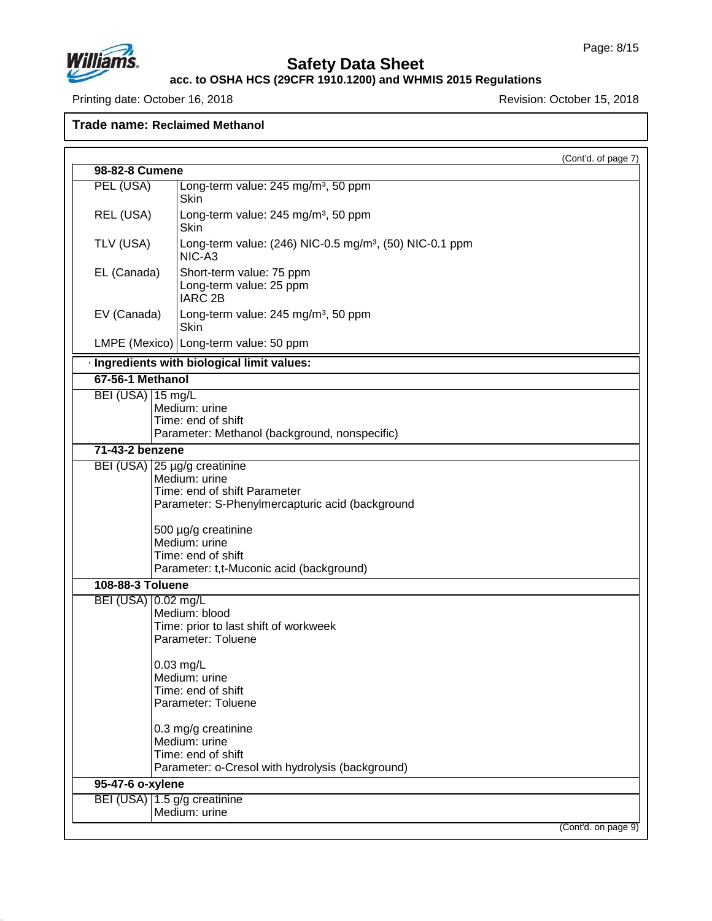(Cont'd. of page 7)



# **Safety Data Sheet**

## **acc. to OSHA HCS (29CFR 1910.1200) and WHMIS 2015 Regulations**

Printing date: October 16, 2018 **Revision: October 15, 2018** Revision: October 15, 2018

**98-82-8 Cumene**

**Trade name: Reclaimed Methanol**

Skin

PEL (USA) Long-term value: 245 mg/m<sup>3</sup>, 50 ppm

REL (USA)  $\vert$  Long-term value: 245 mg/m<sup>3</sup>, 50 ppm Skin TLV (USA)  $\vert$  Long-term value: (246) NIC-0.5 mg/m<sup>3</sup>, (50) NIC-0.1 ppm NIC-A3 EL (Canada) Short-term value: 75 ppm Long-term value: 25 ppm IARC 2B EV (Canada)  $\vert$  Long-term value: 245 mg/m<sup>3</sup>, 50 ppm Skin LMPE (Mexico) Long-term value: 50 ppm · **Ingredients with biological limit values: 67-56-1 Methanol** BEI (USA) 15 mg/L Medium: urine Time: end of shift Parameter: Methanol (background, nonspecific) **71-43-2 benzene** BEI (USA) 25 µg/g creatinine Medium: urine Time: end of shift Parameter Parameter: S-Phenylmercapturic acid (background 500 µg/g creatinine Medium: urine Time: end of shift Parameter: t,t-Muconic acid (background) **108-88-3 Toluene** BEI (USA) 0.02 mg/L Medium: blood Time: prior to last shift of workweek Parameter: Toluene 0.03 mg/L Medium: urine Time: end of shift Parameter: Toluene 0.3 mg/g creatinine Medium: urine Time: end of shift

Parameter: o-Cresol with hydrolysis (background) **95-47-6 o-xylene**

BEI (USA) 1.5 g/g creatinine Medium: urine

47.0.13

(Cont'd. on page 9)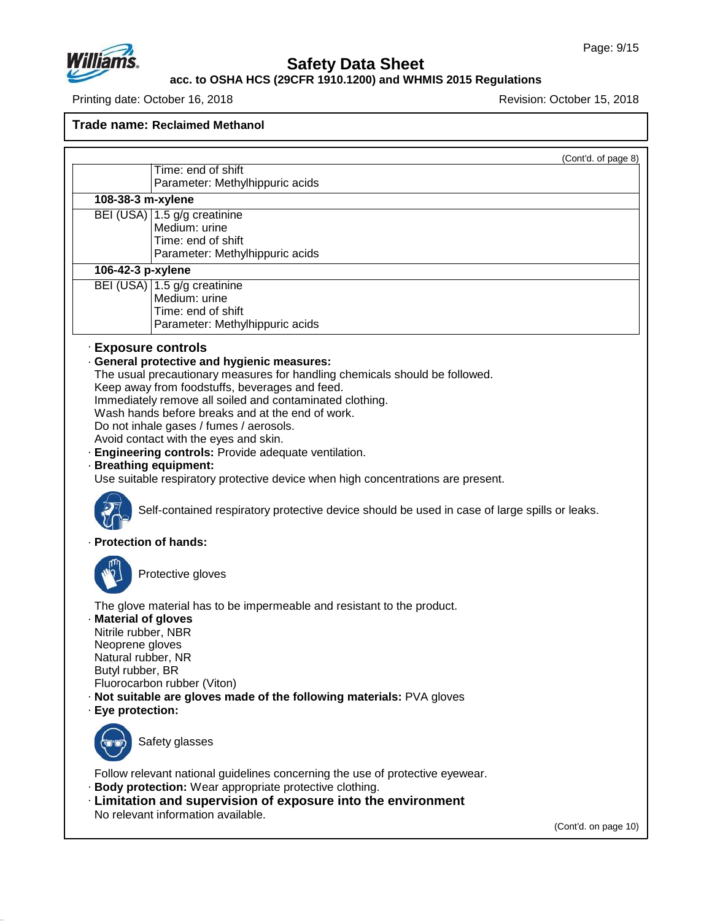

# **Safety Data Sheet**

#### **acc. to OSHA HCS (29CFR 1910.1200) and WHMIS 2015 Regulations**

Printing date: October 16, 2018 **Printing date: October 16, 2018** 

**Trade name: Reclaimed Methanol**

|                                                                                                                               |                                                                                                                                                                                                                                                                                                                                                                                                                                                                                                                                                                                                                                                          | (Cont'd. of page 8) |
|-------------------------------------------------------------------------------------------------------------------------------|----------------------------------------------------------------------------------------------------------------------------------------------------------------------------------------------------------------------------------------------------------------------------------------------------------------------------------------------------------------------------------------------------------------------------------------------------------------------------------------------------------------------------------------------------------------------------------------------------------------------------------------------------------|---------------------|
|                                                                                                                               | Time: end of shift<br>Parameter: Methylhippuric acids                                                                                                                                                                                                                                                                                                                                                                                                                                                                                                                                                                                                    |                     |
| 108-38-3 m-xylene                                                                                                             |                                                                                                                                                                                                                                                                                                                                                                                                                                                                                                                                                                                                                                                          |                     |
|                                                                                                                               | BEI (USA) 1.5 g/g creatinine<br>Medium: urine<br>Time: end of shift<br>Parameter: Methylhippuric acids                                                                                                                                                                                                                                                                                                                                                                                                                                                                                                                                                   |                     |
| 106-42-3 p-xylene                                                                                                             |                                                                                                                                                                                                                                                                                                                                                                                                                                                                                                                                                                                                                                                          |                     |
|                                                                                                                               | BEI (USA) 1.5 g/g creatinine<br>Medium: urine<br>Time: end of shift<br>Parameter: Methylhippuric acids                                                                                                                                                                                                                                                                                                                                                                                                                                                                                                                                                   |                     |
| <b>Exposure controls</b>                                                                                                      | · General protective and hygienic measures:<br>The usual precautionary measures for handling chemicals should be followed.<br>Keep away from foodstuffs, beverages and feed.<br>Immediately remove all soiled and contaminated clothing.<br>Wash hands before breaks and at the end of work.<br>Do not inhale gases / fumes / aerosols.<br>Avoid contact with the eyes and skin.<br>· Engineering controls: Provide adequate ventilation.<br>· Breathing equipment:<br>Use suitable respiratory protective device when high concentrations are present.<br>Self-contained respiratory protective device should be used in case of large spills or leaks. |                     |
| · Protection of hands:                                                                                                        |                                                                                                                                                                                                                                                                                                                                                                                                                                                                                                                                                                                                                                                          |                     |
|                                                                                                                               | Protective gloves                                                                                                                                                                                                                                                                                                                                                                                                                                                                                                                                                                                                                                        |                     |
| · Material of gloves<br>Nitrile rubber, NBR<br>Neoprene gloves<br>Natural rubber, NR<br>Butyl rubber, BR<br>· Eye protection: | The glove material has to be impermeable and resistant to the product.<br>Fluorocarbon rubber (Viton)<br>. Not suitable are gloves made of the following materials: PVA gloves                                                                                                                                                                                                                                                                                                                                                                                                                                                                           |                     |
|                                                                                                                               | Safety glasses                                                                                                                                                                                                                                                                                                                                                                                                                                                                                                                                                                                                                                           |                     |
|                                                                                                                               | Follow relevant national guidelines concerning the use of protective eyewear.<br>· Body protection: Wear appropriate protective clothing.<br>Elmitation and supervision of exposure into the environment<br>No relevant information available.                                                                                                                                                                                                                                                                                                                                                                                                           |                     |

(Cont'd. on page 10)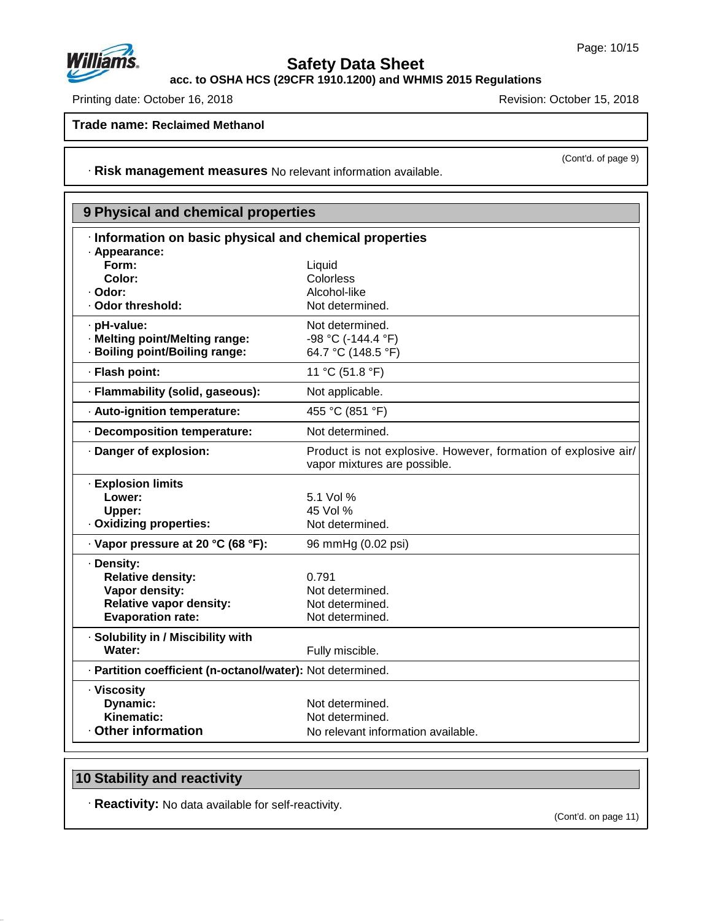

**acc. to OSHA HCS (29CFR 1910.1200) and WHMIS 2015 Regulations**

Printing date: October 16, 2018 **Printing date: October 16, 2018** 

**Trade name: Reclaimed Methanol**

(Cont'd. of page 9)

· **Risk management measures** No relevant information available.

| 9 Physical and chemical properties                         |                                                                                                |
|------------------------------------------------------------|------------------------------------------------------------------------------------------------|
| · Information on basic physical and chemical properties    |                                                                                                |
| · Appearance:                                              |                                                                                                |
| Form:                                                      | Liquid                                                                                         |
| Color:                                                     | Colorless                                                                                      |
| · Odor:                                                    | Alcohol-like                                                                                   |
| · Odor threshold:                                          | Not determined.                                                                                |
| · pH-value:                                                | Not determined.                                                                                |
| · Melting point/Melting range:                             | -98 °C (-144.4 °F)                                                                             |
| · Boiling point/Boiling range:                             | 64.7 °C (148.5 °F)                                                                             |
| · Flash point:                                             | 11 °C (51.8 °F)                                                                                |
| · Flammability (solid, gaseous):                           | Not applicable.                                                                                |
| · Auto-ignition temperature:                               | 455 °C (851 °F)                                                                                |
| · Decomposition temperature:                               | Not determined.                                                                                |
| · Danger of explosion:                                     | Product is not explosive. However, formation of explosive air/<br>vapor mixtures are possible. |
| · Explosion limits                                         |                                                                                                |
| Lower:                                                     | 5.1 Vol %                                                                                      |
| Upper:                                                     | 45 Vol %                                                                                       |
| · Oxidizing properties:                                    | Not determined.                                                                                |
| · Vapor pressure at 20 °C (68 °F):                         | 96 mmHg (0.02 psi)                                                                             |
| · Density:                                                 |                                                                                                |
| <b>Relative density:</b>                                   | 0.791                                                                                          |
| Vapor density:                                             | Not determined.                                                                                |
| <b>Relative vapor density:</b>                             | Not determined.                                                                                |
| <b>Evaporation rate:</b>                                   | Not determined.                                                                                |
| · Solubility in / Miscibility with                         |                                                                                                |
| Water:                                                     | Fully miscible.                                                                                |
| · Partition coefficient (n-octanol/water): Not determined. |                                                                                                |
| · Viscosity                                                |                                                                                                |
| <b>Dynamic:</b>                                            | Not determined.                                                                                |
| Kinematic:                                                 | Not determined.                                                                                |
| <b>Other information</b>                                   | No relevant information available.                                                             |

# **10 Stability and reactivity**

47.0.13

· **Reactivity:** No data available for self-reactivity.

(Cont'd. on page 11)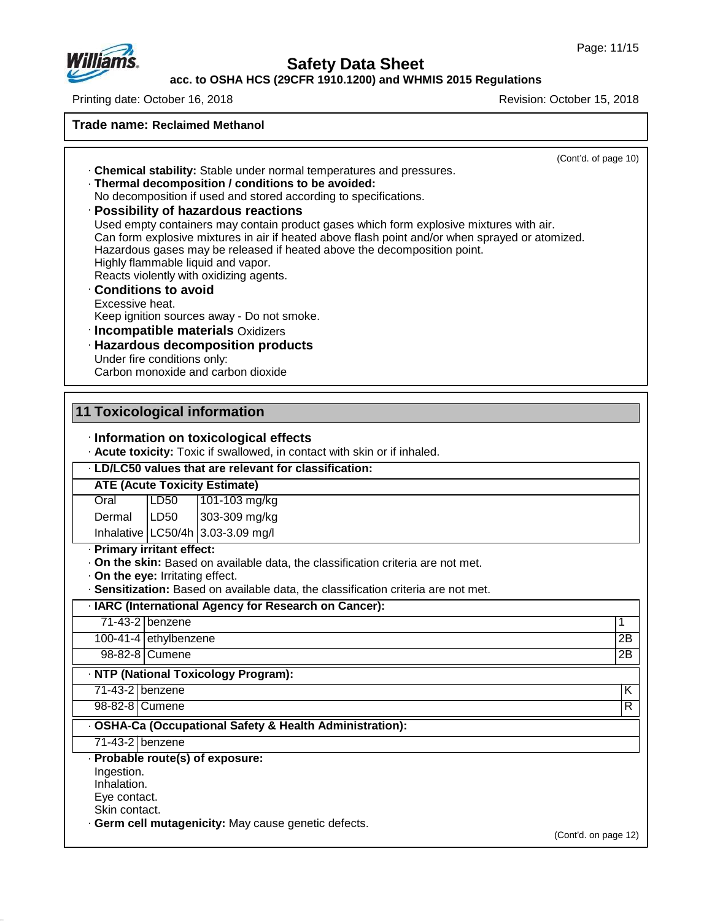

# **Safety Data Sheet**

**acc. to OSHA HCS (29CFR 1910.1200) and WHMIS 2015 Regulations**

Printing date: October 16, 2018 **Printing date: October 16, 2018** 

**Trade name: Reclaimed Methanol**

| . Chemical stability: Stable under normal temperatures and pressures.<br>· Thermal decomposition / conditions to be avoided:<br>No decomposition if used and stored according to specifications.<br>· Possibility of hazardous reactions<br>Used empty containers may contain product gases which form explosive mixtures with air.<br>Can form explosive mixtures in air if heated above flash point and/or when sprayed or atomized.<br>Hazardous gases may be released if heated above the decomposition point.<br>Highly flammable liquid and vapor.<br>Reacts violently with oxidizing agents.<br><b>Conditions to avoid</b><br>Excessive heat.<br>Keep ignition sources away - Do not smoke.<br>· Incompatible materials Oxidizers<br>· Hazardous decomposition products<br>Under fire conditions only:<br>Carbon monoxide and carbon dioxide | (Cont'd. of page 10) |
|-----------------------------------------------------------------------------------------------------------------------------------------------------------------------------------------------------------------------------------------------------------------------------------------------------------------------------------------------------------------------------------------------------------------------------------------------------------------------------------------------------------------------------------------------------------------------------------------------------------------------------------------------------------------------------------------------------------------------------------------------------------------------------------------------------------------------------------------------------|----------------------|
|                                                                                                                                                                                                                                                                                                                                                                                                                                                                                                                                                                                                                                                                                                                                                                                                                                                     |                      |
|                                                                                                                                                                                                                                                                                                                                                                                                                                                                                                                                                                                                                                                                                                                                                                                                                                                     |                      |
| 11 Toxicological information                                                                                                                                                                                                                                                                                                                                                                                                                                                                                                                                                                                                                                                                                                                                                                                                                        |                      |
| · Information on toxicological effects                                                                                                                                                                                                                                                                                                                                                                                                                                                                                                                                                                                                                                                                                                                                                                                                              |                      |
| . Acute toxicity: Toxic if swallowed, in contact with skin or if inhaled.                                                                                                                                                                                                                                                                                                                                                                                                                                                                                                                                                                                                                                                                                                                                                                           |                      |
| · LD/LC50 values that are relevant for classification:                                                                                                                                                                                                                                                                                                                                                                                                                                                                                                                                                                                                                                                                                                                                                                                              |                      |
| <b>ATE (Acute Toxicity Estimate)</b>                                                                                                                                                                                                                                                                                                                                                                                                                                                                                                                                                                                                                                                                                                                                                                                                                |                      |
| LD50<br>Oral<br>101-103 mg/kg                                                                                                                                                                                                                                                                                                                                                                                                                                                                                                                                                                                                                                                                                                                                                                                                                       |                      |
| LD50<br>303-309 mg/kg<br>Dermal                                                                                                                                                                                                                                                                                                                                                                                                                                                                                                                                                                                                                                                                                                                                                                                                                     |                      |
| Inhalative   LC50/4h   3.03-3.09 mg/l                                                                                                                                                                                                                                                                                                                                                                                                                                                                                                                                                                                                                                                                                                                                                                                                               |                      |
| · Primary irritant effect:                                                                                                                                                                                                                                                                                                                                                                                                                                                                                                                                                                                                                                                                                                                                                                                                                          |                      |
| · On the skin: Based on available data, the classification criteria are not met.                                                                                                                                                                                                                                                                                                                                                                                                                                                                                                                                                                                                                                                                                                                                                                    |                      |
| . On the eye: Irritating effect.                                                                                                                                                                                                                                                                                                                                                                                                                                                                                                                                                                                                                                                                                                                                                                                                                    |                      |
| · Sensitization: Based on available data, the classification criteria are not met.                                                                                                                                                                                                                                                                                                                                                                                                                                                                                                                                                                                                                                                                                                                                                                  |                      |
| · IARC (International Agency for Research on Cancer):                                                                                                                                                                                                                                                                                                                                                                                                                                                                                                                                                                                                                                                                                                                                                                                               |                      |
| 71-43-2 benzene                                                                                                                                                                                                                                                                                                                                                                                                                                                                                                                                                                                                                                                                                                                                                                                                                                     | 1                    |
| 100-41-4 ethylbenzene                                                                                                                                                                                                                                                                                                                                                                                                                                                                                                                                                                                                                                                                                                                                                                                                                               | 2B                   |
| 98-82-8 Cumene                                                                                                                                                                                                                                                                                                                                                                                                                                                                                                                                                                                                                                                                                                                                                                                                                                      | $\overline{2B}$      |
| · NTP (National Toxicology Program):                                                                                                                                                                                                                                                                                                                                                                                                                                                                                                                                                                                                                                                                                                                                                                                                                |                      |
| 71-43-2 benzene                                                                                                                                                                                                                                                                                                                                                                                                                                                                                                                                                                                                                                                                                                                                                                                                                                     | Κ                    |
| 98-82-8 Cumene                                                                                                                                                                                                                                                                                                                                                                                                                                                                                                                                                                                                                                                                                                                                                                                                                                      | $\overline{R}$       |
| · OSHA-Ca (Occupational Safety & Health Administration):                                                                                                                                                                                                                                                                                                                                                                                                                                                                                                                                                                                                                                                                                                                                                                                            |                      |
| 71-43-2 benzene                                                                                                                                                                                                                                                                                                                                                                                                                                                                                                                                                                                                                                                                                                                                                                                                                                     |                      |
| · Probable route(s) of exposure:<br>Ingestion.<br>Inhalation.<br>Eye contact.<br>Skin contact.                                                                                                                                                                                                                                                                                                                                                                                                                                                                                                                                                                                                                                                                                                                                                      |                      |
| · Germ cell mutagenicity: May cause genetic defects.                                                                                                                                                                                                                                                                                                                                                                                                                                                                                                                                                                                                                                                                                                                                                                                                |                      |
|                                                                                                                                                                                                                                                                                                                                                                                                                                                                                                                                                                                                                                                                                                                                                                                                                                                     | (Cont'd. on page 12) |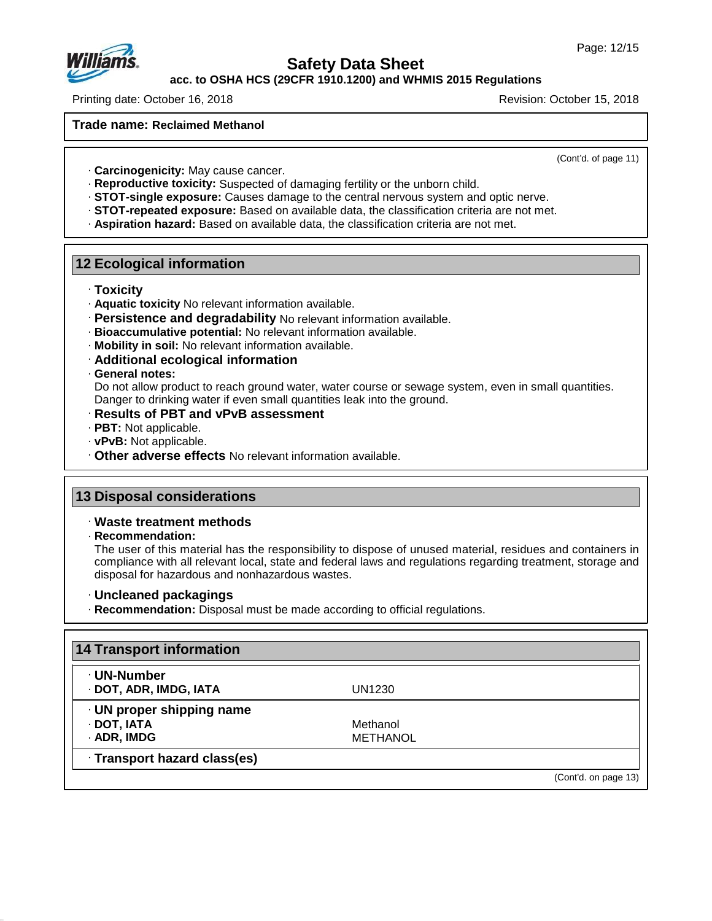

**acc. to OSHA HCS (29CFR 1910.1200) and WHMIS 2015 Regulations**

Printing date: October 16, 2018 **Revision: October 15, 2018** Revision: October 15, 2018

**Trade name: Reclaimed Methanol**

(Cont'd. of page 11)

- · **Carcinogenicity:** May cause cancer.
- · **Reproductive toxicity:** Suspected of damaging fertility or the unborn child.
- · **STOT-single exposure:** Causes damage to the central nervous system andoptic nerve.
- · **STOT-repeated exposure:** Based on available data, the classification criteria are not met.
- · **Aspiration hazard:** Based on available data, the classification criteria are not met.

#### **12 Ecological information**

- · **Toxicity**
- · **Aquatic toxicity** No relevant information available.
- · **Persistence and degradability** No relevant information available.
- · **Bioaccumulative potential:** No relevant information available.
- · **Mobility in soil:** No relevant information available.
- · **Additional ecological information**
- · **General notes:**

Do not allow product to reach ground water, water course or sewage system, even in small quantities. Danger to drinking water if even small quantities leak into the ground.

- · **Results of PBT and vPvB assessment**
- · **PBT:** Not applicable.
- · **vPvB:** Not applicable.
- · **Other adverse effects** No relevant information available.

#### **13 Disposal considerations**

- · **Waste treatment methods**
- · **Recommendation:**

47.0.13

The user of this material has the responsibility to dispose of unused material, residues and containers in compliance with all relevant local, state and federal laws and regulations regarding treatment, storage and disposal for hazardous and nonhazardous wastes.

- · **Uncleaned packagings**
- · **Recommendation:** Disposal must be made according to official regulations.

| · UN-Number                  |                 |  |
|------------------------------|-----------------|--|
| · DOT, ADR, IMDG, IATA       | UN1230          |  |
| · UN proper shipping name    |                 |  |
| · DOT, IATA                  | Methanol        |  |
| · ADR, IMDG                  | <b>METHANOL</b> |  |
| · Transport hazard class(es) |                 |  |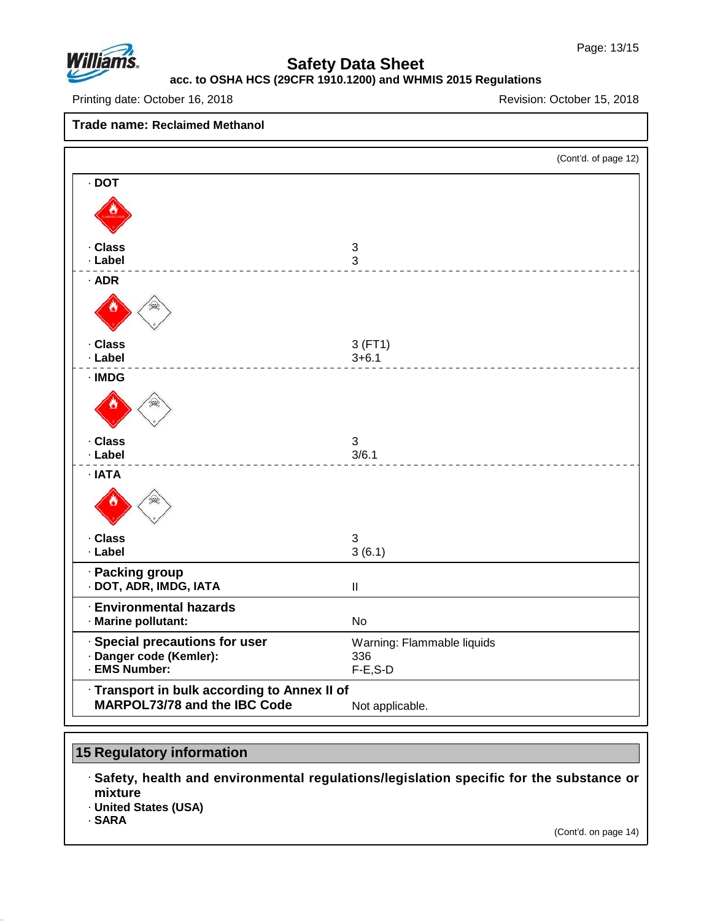

# **acc. to OSHA HCS (29CFR 1910.1200) and WHMIS 2015 Regulations**

Printing date: October 16, 2018 **Printing date: October 16, 2018** 

**Trade name: Reclaimed Methanol**

|                                                           | (Cont'd. of page 12)               |
|-----------------------------------------------------------|------------------------------------|
| $\cdot$ DOT                                               |                                    |
|                                                           |                                    |
| · Class<br>· Label                                        | $\ensuremath{\mathsf{3}}$<br>3     |
| $·$ ADR                                                   |                                    |
|                                                           |                                    |
| · Class<br>· Label                                        | 3(FT1)<br>$3 + 6.1$                |
| $\cdot$ IMDG                                              |                                    |
|                                                           |                                    |
| · Class<br>· Label                                        | $\ensuremath{\mathsf{3}}$<br>3/6.1 |
| · IATA                                                    |                                    |
|                                                           |                                    |
| · Class<br>· Label                                        | 3<br>3(6.1)                        |
| · Packing group<br>· DOT, ADR, IMDG, IATA                 | $\ensuremath{\mathsf{II}}$         |
| <b>Environmental hazards</b><br>· Marine pollutant:       | <b>No</b>                          |
| · Special precautions for user<br>· Danger code (Kemler): | Warning: Flammable liquids<br>336  |
| · EMS Number:                                             | $F-E$ , $S-D$                      |
| · Transport in bulk according to Annex II of              |                                    |
| <b>MARPOL73/78 and the IBC Code</b>                       | Not applicable.                    |

# **15 Regulatory information**

· **Safety, health and environmental regulations/legislation specific for the substance or mixture** · **United States (USA)**

· **SARA**

47.0.13

(Cont'd. on page 14)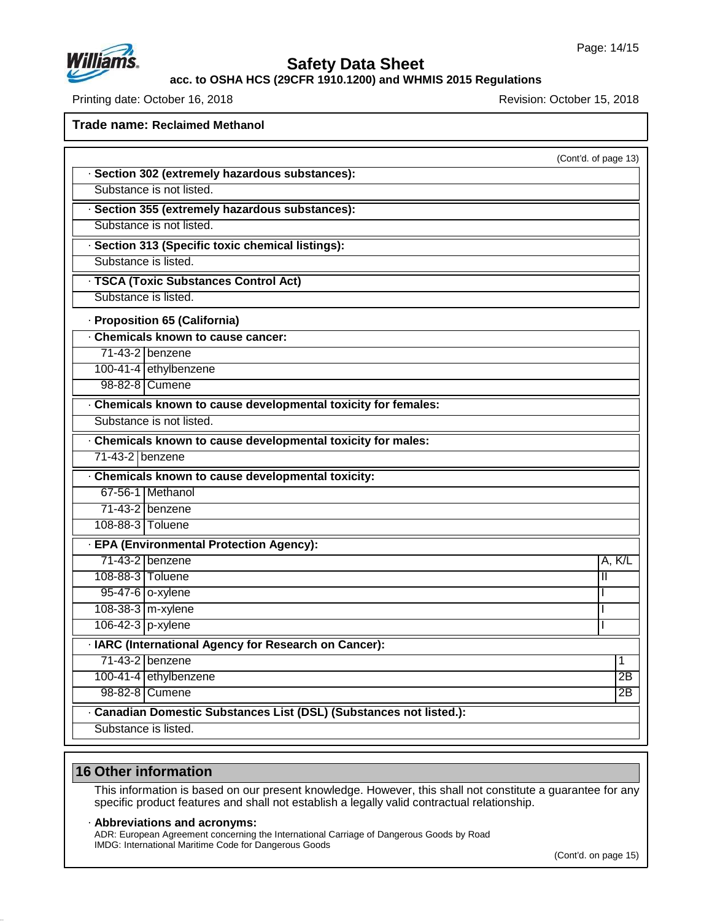

**acc. to OSHA HCS (29CFR 1910.1200) and WHMIS 2015 Regulations**

Printing date: October 16, 2018 **Printing date: October 16, 2018** Revision: October 15, 2018

**Trade name: Reclaimed Methanol**

|                                                                     | (Cont'd. of page 13) |
|---------------------------------------------------------------------|----------------------|
| · Section 302 (extremely hazardous substances):                     |                      |
| Substance is not listed.                                            |                      |
| · Section 355 (extremely hazardous substances):                     |                      |
| Substance is not listed.                                            |                      |
| · Section 313 (Specific toxic chemical listings):                   |                      |
| Substance is listed.                                                |                      |
| · TSCA (Toxic Substances Control Act)                               |                      |
| Substance is listed.                                                |                      |
| · Proposition 65 (California)                                       |                      |
| . Chemicals known to cause cancer:                                  |                      |
| 71-43-2 benzene                                                     |                      |
| 100-41-4 ethylbenzene                                               |                      |
| 98-82-8 Cumene                                                      |                      |
| · Chemicals known to cause developmental toxicity for females:      |                      |
| Substance is not listed.                                            |                      |
| . Chemicals known to cause developmental toxicity for males:        |                      |
| 71-43-2 benzene                                                     |                      |
| . Chemicals known to cause developmental toxicity:                  |                      |
| 67-56-1 Methanol                                                    |                      |
| 71-43-2 benzene                                                     |                      |
| 108-88-3 Toluene                                                    |                      |
| · EPA (Environmental Protection Agency):                            |                      |
| 71-43-2 benzene                                                     | A, K/L               |
| 108-88-3 Toluene                                                    | $\mathbf{I}$         |
| 95-47-6 o-xylene                                                    | T                    |
| 108-38-3 m-xylene                                                   | T                    |
| 106-42-3 p-xylene                                                   | $\mathbf{I}$         |
| · IARC (International Agency for Research on Cancer):               |                      |
| 71-43-2 benzene                                                     | 1                    |
| 100-41-4 ethylbenzene                                               | 2B                   |
| 98-82-8 Cumene                                                      | 2B                   |
| · Canadian Domestic Substances List (DSL) (Substances not listed.): |                      |
| Substance is listed.                                                |                      |

### **16 Other information**

47.0.13

This information is based on our present knowledge. However, this shall not constitute a guarantee for any specific product features and shall not establish a legally valid contractual relationship.

#### · **Abbreviations and acronyms:**

ADR: European Agreement concerning the International Carriage of Dangerous Goods by Road IMDG: International Maritime Code for Dangerous Goods

(Cont'd. on page 15)